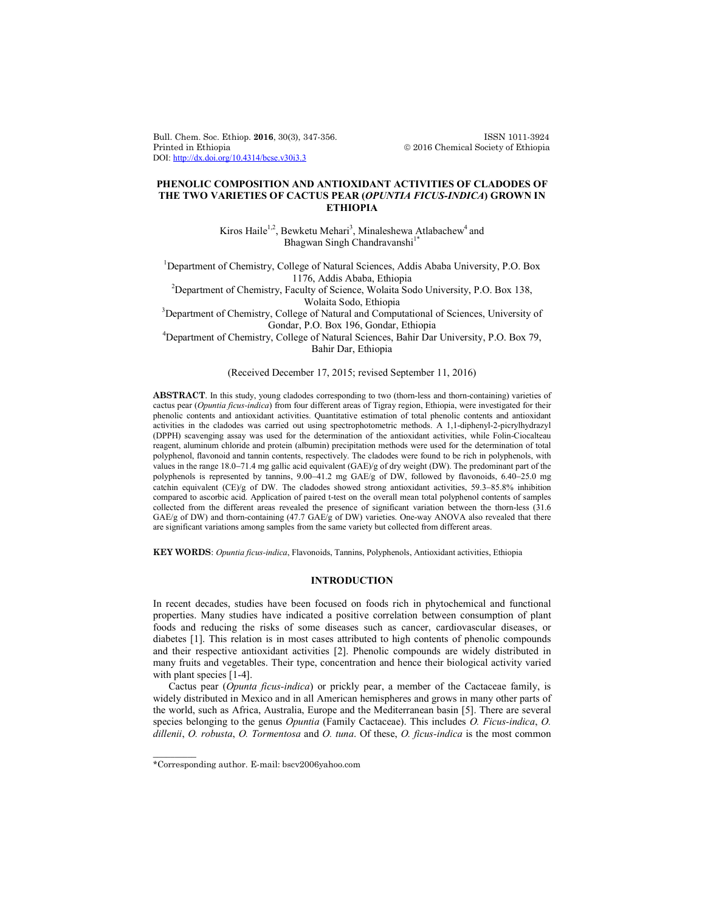Bull. Chem. Soc. Ethiop. **2016**, 30(3), 347-356. ISSN 1011-3924 DOI: http://dx.doi.org/10.4314/bcse.v30i3.3

 $© 2016 Chemical Society of Ethiopia$ 

## **PHENOLIC COMPOSITION AND ANTIOXIDANT ACTIVITIES OF CLADODES OF THE TWO VARIETIES OF CACTUS PEAR (***OPUNTIA FICUS-INDICA***) GROWN IN ETHIOPIA**

Kiros Haile<sup>1,2</sup>, Bewketu Mehari<sup>3</sup>, Minaleshewa Atlabachew<sup>4</sup> and Bhagwan Singh Chandravanshi<sup>1\*</sup>

<sup>1</sup>Department of Chemistry, College of Natural Sciences, Addis Ababa University, P.O. Box

1176, Addis Ababa, Ethiopia <sup>2</sup> Department of Chemistry, Faculty of Science, Wolaita Sodo University, P.O. Box 138,

Wolaita Sodo, Ethiopia<br><sup>3</sup>Department of Chemistry, College of Natural and Computational of Sciences, University of Gondar, P.O. Box 196, Gondar, Ethiopia <sup>4</sup> Department of Chemistry, College of Natural Sciences, Bahir Dar University, P.O. Box 79,

Bahir Dar, Ethiopia

# (Received December 17, 2015; revised September 11, 2016)

**ABSTRACT**. In this study, young cladodes corresponding to two (thorn-less and thorn-containing) varieties of cactus pear (*Opuntia ficus-indica*) from four different areas of Tigray region, Ethiopia, were investigated for their phenolic contents and antioxidant activities. Quantitative estimation of total phenolic contents and antioxidant activities in the cladodes was carried out using spectrophotometric methods. A 1,1-diphenyl-2-picrylhydrazyl (DPPH) scavenging assay was used for the determination of the antioxidant activities, while Folin-Ciocalteau reagent, aluminum chloride and protein (albumin) precipitation methods were used for the determination of total polyphenol, flavonoid and tannin contents, respectively. The cladodes were found to be rich in polyphenols, with values in the range  $18.0-71.4$  mg gallic acid equivalent (GAE)/g of dry weight (DW). The predominant part of the polyphenols is represented by tannins,  $9.00-41.2$  mg GAE/g of DW, followed by flavonoids,  $6.40-25.0$  mg catchin equivalent (CE)/g of DW. The cladodes showed strong antioxidant activities, 59.3-85.8% inhibition compared to ascorbic acid. Application of paired t-test on the overall mean total polyphenol contents of samples collected from the different areas revealed the presence of significant variation between the thorn-less (31.6  $GAE/g$  of DW) and thorn-containing (47.7  $GAE/g$  of DW) varieties. One-way ANOVA also revealed that there are significant variations among samples from the same variety but collected from different areas.

**KEY WORDS**: *Opuntia ficus-indica*, Flavonoids, Tannins, Polyphenols, Antioxidant activities, Ethiopia

## **INTRODUCTION**

In recent decades, studies have been focused on foods rich in phytochemical and functional properties. Many studies have indicated a positive correlation between consumption of plant foods and reducing the risks of some diseases such as cancer, cardiovascular diseases, or diabetes [1]. This relation is in most cases attributed to high contents of phenolic compounds and their respective antioxidant activities [2]. Phenolic compounds are widely distributed in many fruits and vegetables. Their type, concentration and hence their biological activity varied with plant species [1-4].

Cactus pear (*Opunta ficus-indica*) or prickly pear, a member of the Cactaceae family, is widely distributed in Mexico and in all American hemispheres and grows in many other parts of the world, such as Africa, Australia, Europe and the Mediterranean basin [5]. There are several species belonging to the genus *Opuntia* (Family Cactaceae). This includes *O. Ficus-indica*, *O. dillenii*, *O. robusta*, *O. Tormentosa* and *O. tuna*. Of these, *O. ficus-indica* is the most common

 $\overline{\phantom{a}}$ 

<sup>\*</sup>Corresponding author. E-mail: bscv2006yahoo.com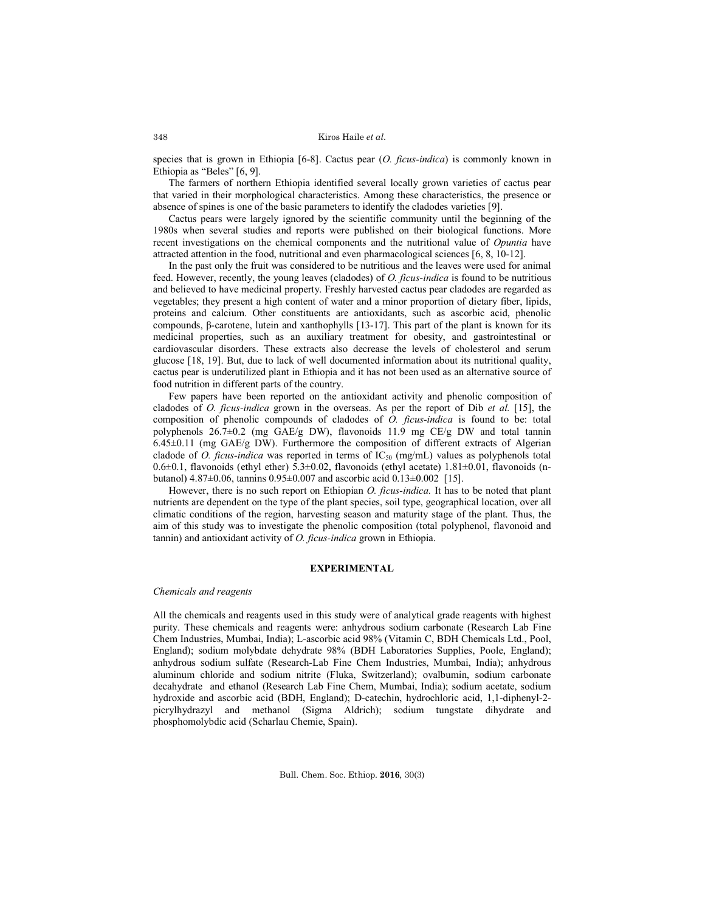species that is grown in Ethiopia [6-8]. Cactus pear (*O. ficus-indica*) is commonly known in Ethiopia as "Beles" [6, 9].

The farmers of northern Ethiopia identified several locally grown varieties of cactus pear that varied in their morphological characteristics. Among these characteristics, the presence or absence of spines is one of the basic parameters to identify the cladodes varieties [9].

Cactus pears were largely ignored by the scientific community until the beginning of the 1980s when several studies and reports were published on their biological functions. More recent investigations on the chemical components and the nutritional value of *Opuntia* have attracted attention in the food, nutritional and even pharmacological sciences [6, 8, 10-12].

In the past only the fruit was considered to be nutritious and the leaves were used for animal feed. However, recently, the young leaves (cladodes) of *O. ficus-indica* is found to be nutritious and believed to have medicinal property. Freshly harvested cactus pear cladodes are regarded as vegetables; they present a high content of water and a minor proportion of dietary fiber, lipids, proteins and calcium. Other constituents are antioxidants, such as ascorbic acid, phenolic compounds, β-carotene, lutein and xanthophylls [13-17]. This part of the plant is known for its medicinal properties, such as an auxiliary treatment for obesity, and gastrointestinal or cardiovascular disorders. These extracts also decrease the levels of cholesterol and serum glucose [18, 19]. But, due to lack of well documented information about its nutritional quality, cactus pear is underutilized plant in Ethiopia and it has not been used as an alternative source of food nutrition in different parts of the country.

Few papers have been reported on the antioxidant activity and phenolic composition of cladodes of *O. ficus-indica* grown in the overseas. As per the report of Dib *et al.* [15], the composition of phenolic compounds of cladodes of *O. ficus-indica* is found to be: total polyphenols  $26.7\pm0.2$  (mg GAE/g DW), flavonoids 11.9 mg CE/g DW and total tannin 6.45±0.11 (mg GAE/g DW). Furthermore the composition of different extracts of Algerian cladode of *O. ficus-indica* was reported in terms of  $IC_{50}$  (mg/mL) values as polyphenols total  $0.6\pm0.1$ , flavonoids (ethyl ether) 5.3 $\pm0.02$ , flavonoids (ethyl acetate) 1.81 $\pm0.01$ , flavonoids (nbutanol) 4.87±0.06, tannins 0.95±0.007 and ascorbic acid 0.13±0.002 [15].

However, there is no such report on Ethiopian *O. ficus-indica.* It has to be noted that plant nutrients are dependent on the type of the plant species, soil type, geographical location, over all climatic conditions of the region, harvesting season and maturity stage of the plant. Thus, the aim of this study was to investigate the phenolic composition (total polyphenol, flavonoid and tannin) and antioxidant activity of *O. ficus-indica* grown in Ethiopia.

## **EXPERIMENTAL**

#### *Chemicals and reagents*

All the chemicals and reagents used in this study were of analytical grade reagents with highest purity. These chemicals and reagents were: anhydrous sodium carbonate (Research Lab Fine Chem Industries, Mumbai, India); L-ascorbic acid 98% (Vitamin C, BDH Chemicals Ltd., Pool, England); sodium molybdate dehydrate 98% (BDH Laboratories Supplies, Poole, England); anhydrous sodium sulfate (Research-Lab Fine Chem Industries, Mumbai, India); anhydrous aluminum chloride and sodium nitrite (Fluka, Switzerland); ovalbumin, sodium carbonate decahydrate and ethanol (Research Lab Fine Chem, Mumbai, India); sodium acetate, sodium hydroxide and ascorbic acid (BDH, England); D-catechin, hydrochloric acid, 1,1-diphenyl-2 picrylhydrazyl and methanol (Sigma Aldrich); sodium tungstate dihydrate and phosphomolybdic acid (Scharlau Chemie, Spain).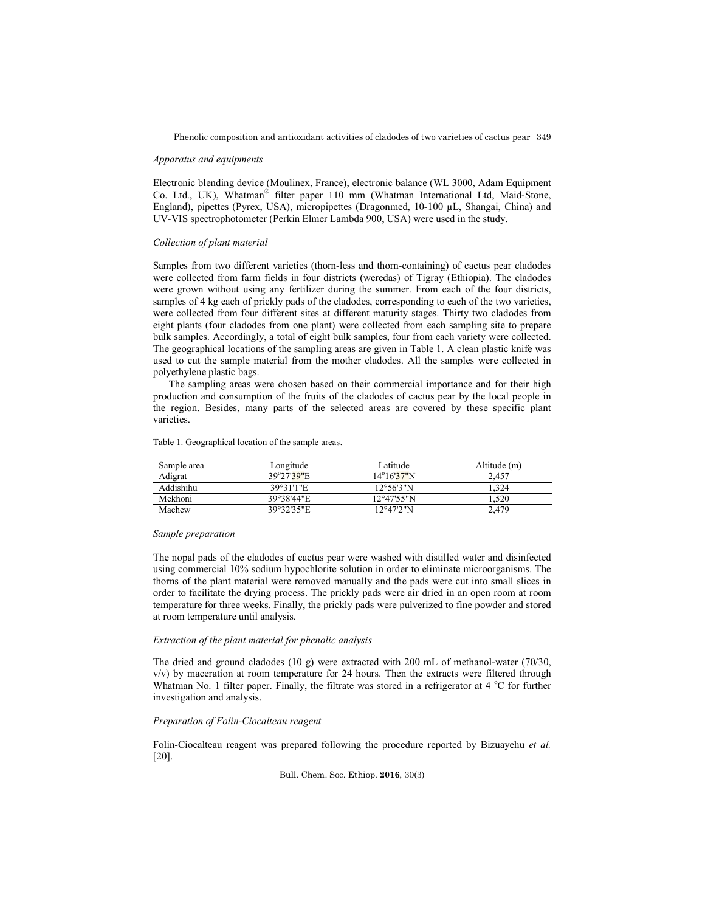Phenolic composition and antioxidant activities of cladodes of two varieties of cactus pear 349

### *Apparatus and equipments*

Electronic blending device (Moulinex, France), electronic balance (WL 3000, Adam Equipment Co. Ltd., UK), Whatman® filter paper 110 mm (Whatman International Ltd, Maid-Stone, England), pipettes (Pyrex, USA), micropipettes (Dragonmed, 10-100 µL, Shangai, China) and UV-VIS spectrophotometer (Perkin Elmer Lambda 900, USA) were used in the study.

### *Collection of plant material*

Samples from two different varieties (thorn-less and thorn-containing) of cactus pear cladodes were collected from farm fields in four districts (weredas) of Tigray (Ethiopia). The cladodes were grown without using any fertilizer during the summer. From each of the four districts, samples of 4 kg each of prickly pads of the cladodes, corresponding to each of the two varieties, were collected from four different sites at different maturity stages. Thirty two cladodes from eight plants (four cladodes from one plant) were collected from each sampling site to prepare bulk samples. Accordingly, a total of eight bulk samples, four from each variety were collected. The geographical locations of the sampling areas are given in Table 1. A clean plastic knife was used to cut the sample material from the mother cladodes. All the samples were collected in polyethylene plastic bags.

The sampling areas were chosen based on their commercial importance and for their high production and consumption of the fruits of the cladodes of cactus pear by the local people in the region. Besides, many parts of the selected areas are covered by these specific plant varieties.

| Sample area | Longitude  | Latitude             | Altitude (m) |
|-------------|------------|----------------------|--------------|
| Adigrat     | 39°27'39"E | 14°16'37"N           | 2.457        |
| Addishihu   | 39°31'1"E  | 12°56'3"N            | .324         |
| Mekhoni     | 39°38'44"E | $12^{\circ}47'55''N$ | .520         |
| Machew      | 39°32'35"E | 12°47'2"N            | 2,479        |

Table 1. Geographical location of the sample areas.

#### *Sample preparation*

The nopal pads of the cladodes of cactus pear were washed with distilled water and disinfected using commercial 10% sodium hypochlorite solution in order to eliminate microorganisms. The thorns of the plant material were removed manually and the pads were cut into small slices in order to facilitate the drying process. The prickly pads were air dried in an open room at room temperature for three weeks. Finally, the prickly pads were pulverized to fine powder and stored at room temperature until analysis.

# *Extraction of the plant material for phenolic analysis*

The dried and ground cladodes (10 g) were extracted with 200 mL of methanol-water (70/30,  $v/v$ ) by maceration at room temperature for 24 hours. Then the extracts were filtered through Whatman No. 1 filter paper. Finally, the filtrate was stored in a refrigerator at 4  $^{\circ}$ C for further investigation and analysis.

## *Preparation of Folin-Ciocalteau reagent*

Folin-Ciocalteau reagent was prepared following the procedure reported by Bizuayehu *et al.* [20].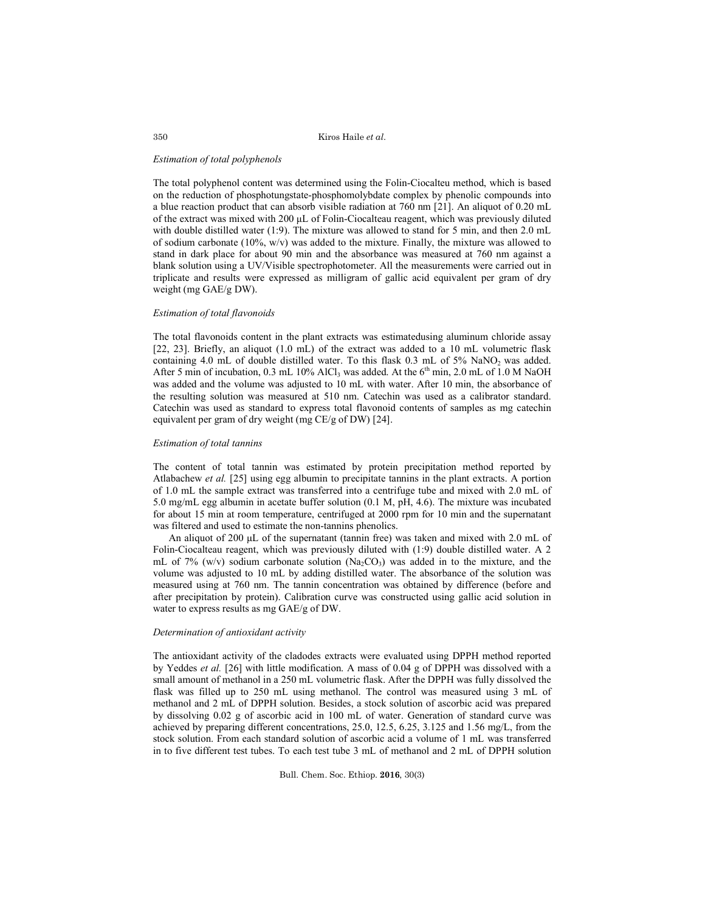Kiros Haile *et al*.

### *Estimation of total polyphenols*

The total polyphenol content was determined using the Folin-Ciocalteu method, which is based on the reduction of phosphotungstate-phosphomolybdate complex by phenolic compounds into a blue reaction product that can absorb visible radiation at 760 nm [21]. An aliquot of 0.20 mL of the extract was mixed with 200 μL of Folin-Ciocalteau reagent, which was previously diluted with double distilled water (1:9). The mixture was allowed to stand for 5 min, and then 2.0 mL of sodium carbonate  $(10\%$ , w/v) was added to the mixture. Finally, the mixture was allowed to stand in dark place for about 90 min and the absorbance was measured at 760 nm against a blank solution using a UV/Visible spectrophotometer. All the measurements were carried out in triplicate and results were expressed as milligram of gallic acid equivalent per gram of dry weight (mg GAE/g DW).

# *Estimation of total flavonoids*

The total flavonoids content in the plant extracts was estimatedusing aluminum chloride assay [22, 23]. Briefly, an aliquot (1.0 mL) of the extract was added to a 10 mL volumetric flask containing 4.0 mL of double distilled water. To this flask  $0.3$  mL of 5% NaNO<sub>2</sub> was added. After 5 min of incubation, 0.3 mL 10% AlCl<sub>3</sub> was added. At the  $6<sup>th</sup>$  min, 2.0 mL of 1.0 M NaOH was added and the volume was adjusted to 10 mL with water. After 10 min, the absorbance of the resulting solution was measured at 510 nm. Catechin was used as a calibrator standard. Catechin was used as standard to express total flavonoid contents of samples as mg catechin equivalent per gram of dry weight (mg CE/g of DW) [24].

### *Estimation of total tannins*

The content of total tannin was estimated by protein precipitation method reported by Atlabachew *et al.* [25] using egg albumin to precipitate tannins in the plant extracts. A portion of 1.0 mL the sample extract was transferred into a centrifuge tube and mixed with 2.0 mL of 5.0 mg/mL egg albumin in acetate buffer solution (0.1 M, pH, 4.6). The mixture was incubated for about 15 min at room temperature, centrifuged at 2000 rpm for 10 min and the supernatant was filtered and used to estimate the non-tannins phenolics.

An aliquot of 200 μL of the supernatant (tannin free) was taken and mixed with 2.0 mL of Folin-Ciocalteau reagent, which was previously diluted with (1:9) double distilled water. A 2 mL of 7% (w/v) sodium carbonate solution ( $Na<sub>2</sub>CO<sub>3</sub>$ ) was added in to the mixture, and the volume was adjusted to 10 mL by adding distilled water. The absorbance of the solution was measured using at 760 nm. The tannin concentration was obtained by difference (before and after precipitation by protein). Calibration curve was constructed using gallic acid solution in water to express results as mg GAE/g of DW.

# *Determination of antioxidant activity*

The antioxidant activity of the cladodes extracts were evaluated using DPPH method reported by Yeddes *et al.* [26] with little modification. A mass of 0.04 g of DPPH was dissolved with a small amount of methanol in a 250 mL volumetric flask. After the DPPH was fully dissolved the flask was filled up to 250 mL using methanol. The control was measured using 3 mL of methanol and 2 mL of DPPH solution. Besides, a stock solution of ascorbic acid was prepared by dissolving 0.02 g of ascorbic acid in 100 mL of water. Generation of standard curve was achieved by preparing different concentrations, 25.0, 12.5, 6.25, 3.125 and 1.56 mg/L, from the stock solution. From each standard solution of ascorbic acid a volume of 1 mL was transferred in to five different test tubes. To each test tube 3 mL of methanol and 2 mL of DPPH solution

Bull. Chem. Soc. Ethiop. **2016**, 30(3)

350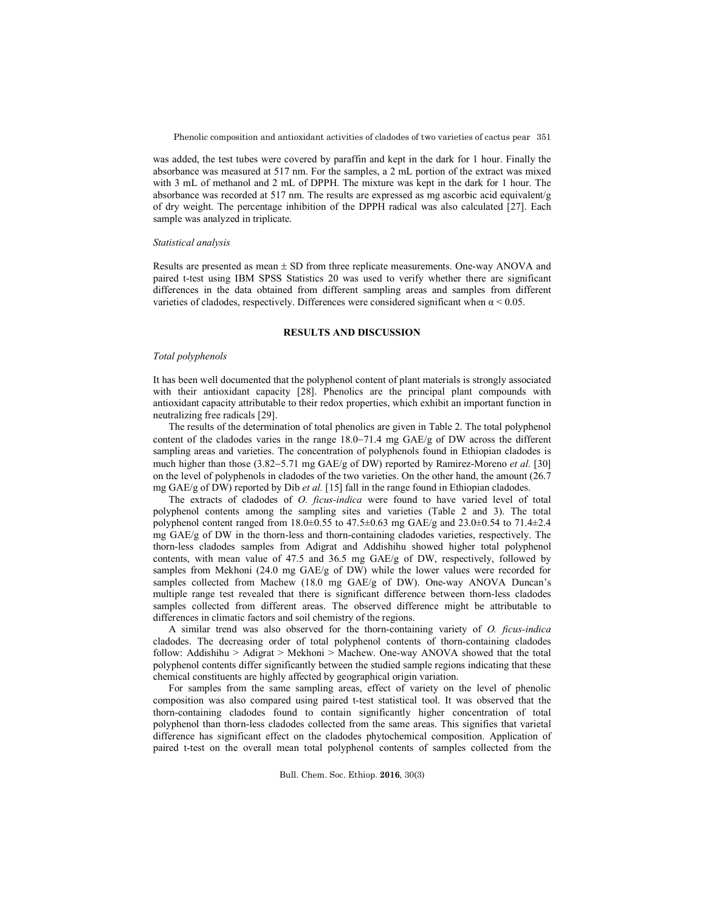was added, the test tubes were covered by paraffin and kept in the dark for 1 hour. Finally the absorbance was measured at 517 nm. For the samples, a 2 mL portion of the extract was mixed with 3 mL of methanol and 2 mL of DPPH. The mixture was kept in the dark for 1 hour. The absorbance was recorded at 517 nm. The results are expressed as mg ascorbic acid equivalent/g of dry weight. The percentage inhibition of the DPPH radical was also calculated [27]. Each sample was analyzed in triplicate.

### *Statistical analysis*

Results are presented as mean  $\pm$  SD from three replicate measurements. One-way ANOVA and paired t-test using IBM SPSS Statistics 20 was used to verify whether there are significant differences in the data obtained from different sampling areas and samples from different varieties of cladodes, respectively. Differences were considered significant when  $\alpha$  < 0.05.

## **RESULTS AND DISCUSSION**

## *Total polyphenols*

It has been well documented that the polyphenol content of plant materials is strongly associated with their antioxidant capacity [28]. Phenolics are the principal plant compounds with antioxidant capacity attributable to their redox properties, which exhibit an important function in neutralizing free radicals [29].

The results of the determination of total phenolics are given in Table 2. The total polyphenol content of the cladodes varies in the range  $18.0-71.4$  mg  $GAE/g$  of DW across the different sampling areas and varieties. The concentration of polyphenols found in Ethiopian cladodes is much higher than those (3.82–5.71 mg GAE/g of DW) reported by Ramirez-Moreno *et al.* [30] on the level of polyphenols in cladodes of the two varieties. On the other hand, the amount (26.7 mg GAE/g of DW) reported by Dib *et al.* [15] fall in the range found in Ethiopian cladodes.

The extracts of cladodes of *O. ficus-indica* were found to have varied level of total polyphenol contents among the sampling sites and varieties (Table 2 and 3). The total polyphenol content ranged from 18.0 $\pm$ 0.55 to 47.5 $\pm$ 0.63 mg GAE/g and 23.0 $\pm$ 0.54 to 71.4 $\pm$ 2.4 mg GAE/g of DW in the thorn-less and thorn-containing cladodes varieties, respectively. The thorn-less cladodes samples from Adigrat and Addishihu showed higher total polyphenol contents, with mean value of 47.5 and 36.5 mg GAE/g of DW, respectively, followed by samples from Mekhoni (24.0 mg GAE/g of DW) while the lower values were recorded for samples collected from Machew (18.0 mg GAE/g of DW). One-way ANOVA Duncan's multiple range test revealed that there is significant difference between thorn-less cladodes samples collected from different areas. The observed difference might be attributable to differences in climatic factors and soil chemistry of the regions.

A similar trend was also observed for the thorn-containing variety of *O. ficus-indica* cladodes. The decreasing order of total polyphenol contents of thorn-containing cladodes follow: Addishihu > Adigrat > Mekhoni > Machew. One-way ANOVA showed that the total polyphenol contents differ significantly between the studied sample regions indicating that these chemical constituents are highly affected by geographical origin variation.

For samples from the same sampling areas, effect of variety on the level of phenolic composition was also compared using paired t-test statistical tool. It was observed that the thorn-containing cladodes found to contain significantly higher concentration of total polyphenol than thorn-less cladodes collected from the same areas. This signifies that varietal difference has significant effect on the cladodes phytochemical composition. Application of paired t-test on the overall mean total polyphenol contents of samples collected from the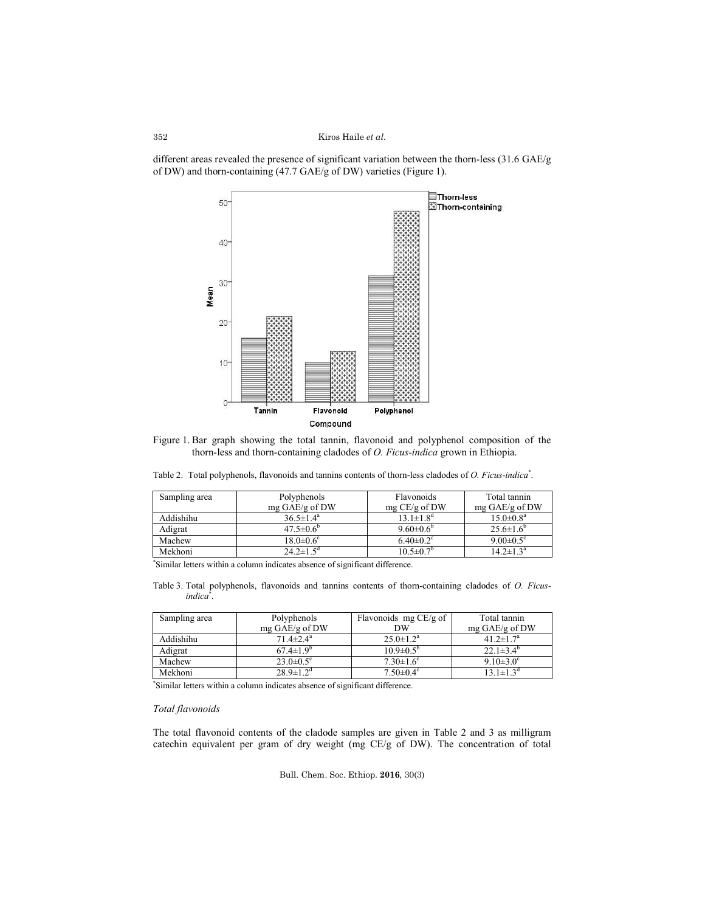### Kiros Haile *et al*.

different areas revealed the presence of significant variation between the thorn-less (31.6 GAE/g of DW) and thorn-containing (47.7 GAE/g of DW) varieties (Figure 1).



Figure 1. Bar graph showing the total tannin, flavonoid and polyphenol composition of the thorn-less and thorn-containing cladodes of *O. Ficus-indica* grown in Ethiopia.

Table 2. Total polyphenols, flavonoids and tannins contents of thorn-less cladodes of *O. Ficus-indica*\* .

| Sampling area | Polyphenols                 | <b>Flavonoids</b>           | Total tannin                |
|---------------|-----------------------------|-----------------------------|-----------------------------|
|               | mg $GAE/g$ of DW            | mg CE/g of DW               | mg GAE/g of DW              |
| Addishihu     | $36.5 \pm 1.4^a$            | $13.1 \pm 1.8$ <sup>d</sup> | $15.0 \pm 0.8^{\text{a}}$   |
| Adigrat       | $47.5 \pm 0.6^{\circ}$      | $9.60 \pm 0.6^{\circ}$      | $25.6 \pm 1.6^{\circ}$      |
| Machew        | $18.0 \pm 0.6$ <sup>c</sup> | $6.40 \pm 0.2$ <sup>c</sup> | 9.00 $\pm$ 0.5 <sup>c</sup> |
| Mekhoni       | $24.2 \pm 1.5^{\circ}$      | $10.5 \pm 0.7$ <sup>b</sup> | $14.2 \pm 1.3^{\text{a}}$   |

\* Similar letters within a column indicates absence of significant difference.

Table 3. Total polyphenols, flavonoids and tannins contents of thorn-containing cladodes of *O. Ficusindica*\* .

| Sampling area | Flavonoids mg CE/g of<br>Polyphenols |                             | Total tannin                |  |
|---------------|--------------------------------------|-----------------------------|-----------------------------|--|
|               | mg GAE/g of DW                       | DW                          | mg $GAE/g$ of DW            |  |
| Addishihu     | $71.4 \pm 2.4^{\mathrm{a}}$          | $25.0 \pm 1.2^a$            | $41.2 \pm 1.7^{\circ}$      |  |
| Adigrat       | $67.4 \pm 1.9^{\circ}$               | $10.9 \pm 0.5^{\circ}$      | $22.1\pm3.4^{\circ}$        |  |
| Machew        | $23.0 \pm 0.5$ <sup>c</sup>          | $7.30 \pm 1.6$ <sup>c</sup> | $9.10\pm3.0^{\circ}$        |  |
| Mekhoni       | $28.9 \pm 1.2$ <sup>d</sup>          | $7.50 \pm 0.4$ <sup>c</sup> | $13.1 \pm 1.3$ <sup>d</sup> |  |

\* Similar letters within a column indicates absence of significant difference.

## *Total flavonoids*

The total flavonoid contents of the cladode samples are given in Table 2 and 3 as milligram catechin equivalent per gram of dry weight (mg CE/g of DW). The concentration of total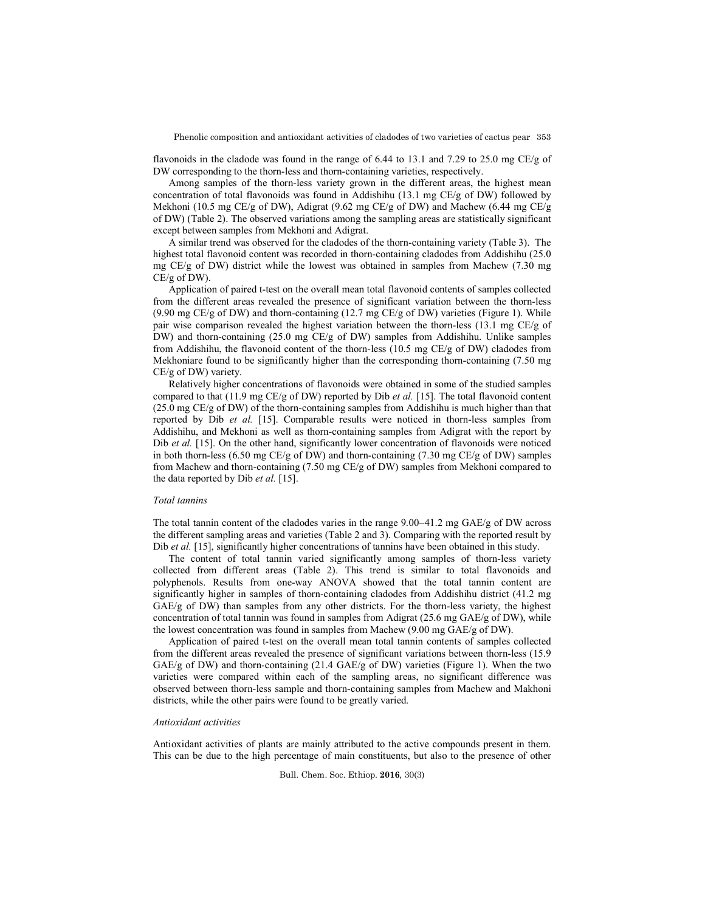Phenolic composition and antioxidant activities of cladodes of two varieties of cactus pear 353

flavonoids in the cladode was found in the range of 6.44 to 13.1 and 7.29 to 25.0 mg CE/g of DW corresponding to the thorn-less and thorn-containing varieties, respectively.

Among samples of the thorn-less variety grown in the different areas, the highest mean concentration of total flavonoids was found in Addishihu (13.1 mg CE/g of DW) followed by Mekhoni (10.5 mg CE/g of DW), Adigrat (9.62 mg CE/g of DW) and Machew (6.44 mg CE/g of DW) (Table 2). The observed variations among the sampling areas are statistically significant except between samples from Mekhoni and Adigrat.

A similar trend was observed for the cladodes of the thorn-containing variety (Table 3). The highest total flavonoid content was recorded in thorn-containing cladodes from Addishihu (25.0 mg CE/g of DW) district while the lowest was obtained in samples from Machew (7.30 mg CE/g of DW).

Application of paired t-test on the overall mean total flavonoid contents of samples collected from the different areas revealed the presence of significant variation between the thorn-less (9.90 mg CE/g of DW) and thorn-containing  $(12.7 \text{ mg CE/g of DW})$  varieties (Figure 1). While pair wise comparison revealed the highest variation between the thorn-less (13.1 mg CE/g of DW) and thorn-containing (25.0 mg CE/g of DW) samples from Addishihu. Unlike samples from Addishihu, the flavonoid content of the thorn-less (10.5 mg CE/g of DW) cladodes from Mekhoniare found to be significantly higher than the corresponding thorn-containing (7.50 mg CE/g of DW) variety.

Relatively higher concentrations of flavonoids were obtained in some of the studied samples compared to that (11.9 mg CE/g of DW) reported by Dib *et al.* [15]. The total flavonoid content (25.0 mg CE/g of DW) of the thorn-containing samples from Addishihu is much higher than that reported by Dib *et al.* [15]. Comparable results were noticed in thorn-less samples from Addishihu, and Mekhoni as well as thorn-containing samples from Adigrat with the report by Dib *et al.* [15]. On the other hand, significantly lower concentration of flavonoids were noticed in both thorn-less (6.50 mg CE/g of DW) and thorn-containing (7.30 mg CE/g of DW) samples from Machew and thorn-containing (7.50 mg CE/g of DW) samples from Mekhoni compared to the data reported by Dib *et al.* [15].

## *Total tannins*

The total tannin content of the cladodes varies in the range  $9.00-41.2$  mg GAE/g of DW across the different sampling areas and varieties (Table 2 and 3). Comparing with the reported result by Dib *et al.* [15], significantly higher concentrations of tannins have been obtained in this study.

The content of total tannin varied significantly among samples of thorn-less variety collected from different areas (Table 2). This trend is similar to total flavonoids and polyphenols. Results from one-way ANOVA showed that the total tannin content are significantly higher in samples of thorn-containing cladodes from Addishihu district (41.2 mg GAE/g of DW) than samples from any other districts. For the thorn-less variety, the highest concentration of total tannin was found in samples from Adigrat (25.6 mg GAE/g of DW), while the lowest concentration was found in samples from Machew (9.00 mg GAE/g of DW).

Application of paired t-test on the overall mean total tannin contents of samples collected from the different areas revealed the presence of significant variations between thorn-less (15.9 GAE/g of DW) and thorn-containing (21.4 GAE/g of DW) varieties (Figure 1). When the two varieties were compared within each of the sampling areas, no significant difference was observed between thorn-less sample and thorn-containing samples from Machew and Makhoni districts, while the other pairs were found to be greatly varied.

### *Antioxidant activities*

Antioxidant activities of plants are mainly attributed to the active compounds present in them. This can be due to the high percentage of main constituents, but also to the presence of other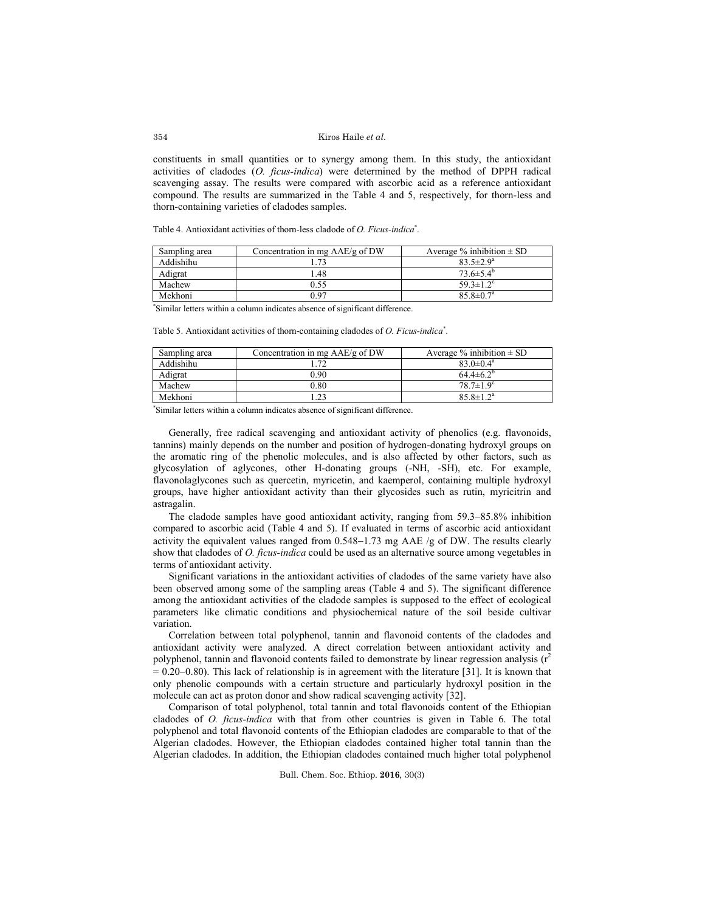### Kiros Haile *et al*.

constituents in small quantities or to synergy among them. In this study, the antioxidant activities of cladodes (*O. ficus-indica*) were determined by the method of DPPH radical scavenging assay. The results were compared with ascorbic acid as a reference antioxidant compound. The results are summarized in the Table 4 and 5, respectively, for thorn-less and thorn-containing varieties of cladodes samples.

Table 4. Antioxidant activities of thorn-less cladode of *O. Ficus-indica*\* .

| Sampling area | Concentration in mg AAE/g of DW | Average $\%$ inhibition $\pm$ SD |
|---------------|---------------------------------|----------------------------------|
| Addishihu     |                                 | $83.5 \pm 2.9^a$                 |
| Adigrat       | 1.48                            | $73.6 \pm 5.4^{\circ}$           |
| Machew        | 0.55                            | $59.3 \pm 1.2$ <sup>c</sup>      |
| Mekhoni       | 0 ዓ7                            | $85.8 \pm 0.7$ <sup>a</sup>      |
|               |                                 |                                  |

\* Similar letters within a column indicates absence of significant difference.

Table 5. Antioxidant activities of thorn-containing cladodes of *O. Ficus-indica*\* .

| Sampling area | Concentration in mg $AAE/g$ of DW | Average $\%$ inhibition $\pm$ SD |
|---------------|-----------------------------------|----------------------------------|
| Addishihu     | 72                                | $83.0 \pm 0.4^{\circ}$           |
| Adigrat       | 0.90                              | $64.4\pm6.2^{\circ}$             |
| Machew        | 0.80                              | $78.7 \pm 1.9^c$                 |
| Mekhoni       |                                   | $85.8 \pm 1.2^a$                 |

\* Similar letters within a column indicates absence of significant difference.

Generally, free radical scavenging and antioxidant activity of phenolics (e.g. flavonoids, tannins) mainly depends on the number and position of hydrogen-donating hydroxyl groups on the aromatic ring of the phenolic molecules, and is also affected by other factors, such as glycosylation of aglycones, other H-donating groups (-NH, -SH), etc. For example, flavonolaglycones such as quercetin, myricetin, and kaemperol, containing multiple hydroxyl groups, have higher antioxidant activity than their glycosides such as rutin, myricitrin and astragalin.

The cladode samples have good antioxidant activity, ranging from  $59.3-85.8\%$  inhibition compared to ascorbic acid (Table 4 and 5). If evaluated in terms of ascorbic acid antioxidant activity the equivalent values ranged from  $0.548-1.73$  mg AAE /g of DW. The results clearly show that cladodes of *O. ficus-indica* could be used as an alternative source among vegetables in terms of antioxidant activity.

Significant variations in the antioxidant activities of cladodes of the same variety have also been observed among some of the sampling areas (Table 4 and 5). The significant difference among the antioxidant activities of the cladode samples is supposed to the effect of ecological parameters like climatic conditions and physiochemical nature of the soil beside cultivar variation.

Correlation between total polyphenol, tannin and flavonoid contents of the cladodes and antioxidant activity were analyzed. A direct correlation between antioxidant activity and polyphenol, tannin and flavonoid contents failed to demonstrate by linear regression analysis  $(r^2)$  $= 0.20 - 0.80$ ). This lack of relationship is in agreement with the literature [31]. It is known that only phenolic compounds with a certain structure and particularly hydroxyl position in the molecule can act as proton donor and show radical scavenging activity [32].

Comparison of total polyphenol, total tannin and total flavonoids content of the Ethiopian cladodes of *O. ficus-indica* with that from other countries is given in Table 6. The total polyphenol and total flavonoid contents of the Ethiopian cladodes are comparable to that of the Algerian cladodes. However, the Ethiopian cladodes contained higher total tannin than the Algerian cladodes. In addition, the Ethiopian cladodes contained much higher total polyphenol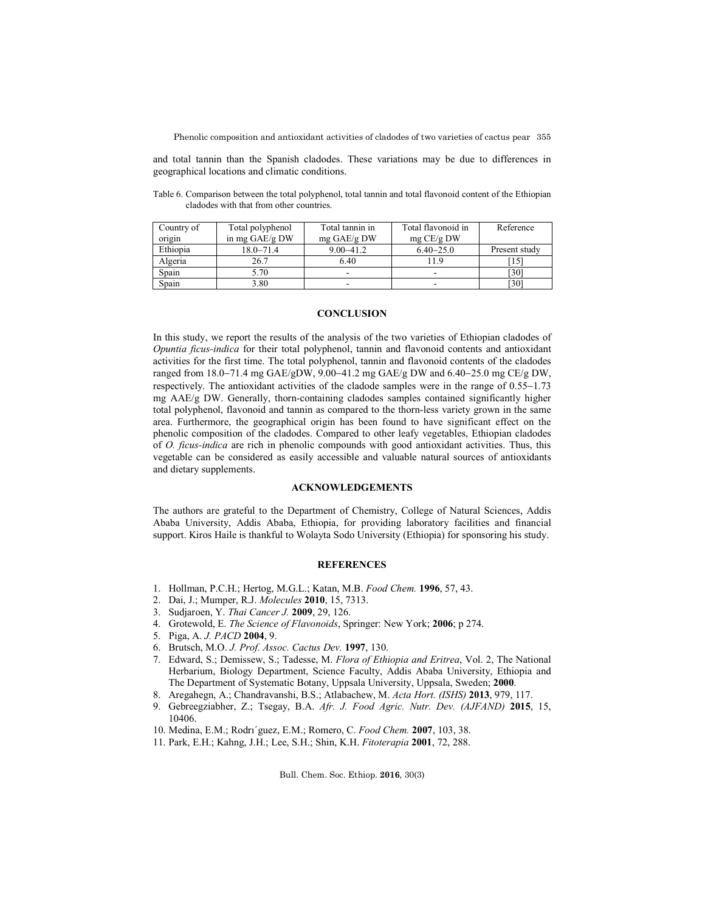Phenolic composition and antioxidant activities of cladodes of two varieties of cactus pear 355

and total tannin than the Spanish cladodes. These variations may be due to differences in geographical locations and climatic conditions.

Table 6. Comparison between the total polyphenol, total tannin and total flavonoid content of the Ethiopian cladodes with that from other countries.

| Country of | Total polyphenol | Total tannin in | Total flavonoid in       | Reference     |
|------------|------------------|-----------------|--------------------------|---------------|
| origin     | in mg GAE/g DW   | $mg$ GAE/g DW   | mg CE/g DW               |               |
| Ethiopia   | $18.0 - 71.4$    | $9.00 - 41.2$   | $6.40 - 25.0$            | Present study |
| Algeria    | 26.7             | 6.40            | 11.9                     | <sup>15</sup> |
| Spain      | 5.70             | -               | $\overline{\phantom{a}}$ | [30]          |
| Spain      | 3.80             | -               | -                        | [30]          |

## **CONCLUSION**

In this study, we report the results of the analysis of the two varieties of Ethiopian cladodes of *Opuntia ficus-indica* for their total polyphenol, tannin and flavonoid contents and antioxidant activities for the first time. The total polyphenol, tannin and flavonoid contents of the cladodes ranged from 18.0-71.4 mg GAE/gDW, 9.00-41.2 mg GAE/g DW and 6.40-25.0 mg CE/g DW, respectively. The antioxidant activities of the cladode samples were in the range of  $0.55-1.73$ mg AAE/g DW. Generally, thorn-containing cladodes samples contained significantly higher total polyphenol, flavonoid and tannin as compared to the thorn-less variety grown in the same area. Furthermore, the geographical origin has been found to have significant effect on the phenolic composition of the cladodes. Compared to other leafy vegetables, Ethiopian cladodes of *O. ficus-indica* are rich in phenolic compounds with good antioxidant activities. Thus, this vegetable can be considered as easily accessible and valuable natural sources of antioxidants and dietary supplements.

# **ACKNOWLEDGEMENTS**

The authors are grateful to the Department of Chemistry, College of Natural Sciences, Addis Ababa University, Addis Ababa, Ethiopia, for providing laboratory facilities and financial support. Kiros Haile is thankful to Wolayta Sodo University (Ethiopia) for sponsoring his study.

## **REFERENCES**

- 1. Hollman, P.C.H.; Hertog, M.G.L.; Katan, M.B. *Food Chem.* **1996**, 57, 43.
- 2. Dai, J.; Mumper, R.J. *Molecules* **2010**, 15, 7313.
- 3. Sudjaroen, Y. *Thai Cancer J.* **2009**, 29, 126.
- 4. Grotewold, E. *The Science of Flavonoids*, Springer: New York; **2006**; p 274.
- 5. Piga, A. *J. PACD* **2004**, 9.
- 6. Brutsch, M.O. *J. Prof. Assoc. Cactus Dev.* **1997**, 130.
- 7. Edward, S.; Demissew, S.; Tadesse, M. *Flora of Ethiopia and Eritrea*, Vol. 2, The National Herbarium, Biology Department, Science Faculty, Addis Ababa University, Ethiopia and The Department of Systematic Botany, Uppsala University, Uppsala, Sweden; **2000**.
- 8. Aregahegn, A.; Chandravanshi, B.S.; Atlabachew, M. *Acta Hort. (ISHS)* **2013**, 979, 117.
- 9. Gebreegziabher, Z.; Tsegay, B.A. *Afr. J. Food Agric. Nutr. Dev. (AJFAND)* **2015**, 15, 10406.
- 10. Medina, E.M.; Rodrı´guez, E.M.; Romero, C. *Food Chem.* **2007**, 103, 38.
- 11. Park, E.H.; Kahng, J.H.; Lee, S.H.; Shin, K.H. *Fitoterapia* **2001**, 72, 288.